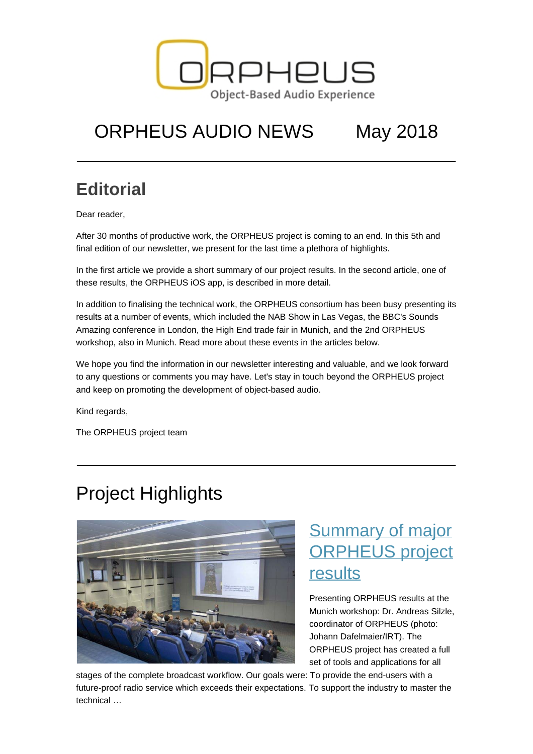

# ORPHEUS AUDIO NEWS May 2018

### **Editorial**

Dear reader,

After 30 months of productive work, the ORPHEUS project is coming to an end. In this 5th and final edition of our newsletter, we present for the last time a plethora of highlights.

In the first article we provide a short summary of our project results. In the second article, one of these results, the ORPHEUS iOS app, is described in more detail.

In addition to finalising the technical work, the ORPHEUS consortium has been busy presenting its results at a number of events, which included the NAB Show in Las Vegas, the BBC's Sounds Amazing conference in London, the High End trade fair in Munich, and the 2nd ORPHEUS workshop, also in Munich. Read more about these events in the articles below.

We hope you find the information in our newsletter interesting and valuable, and we look forward to any questions or comments you may have. Let's stay in touch beyond the ORPHEUS project and keep on promoting the development of object-based audio.

Kind regards,

The ORPHEUS project team

### Project Highlights



### [Summary of major](https://orpheus-audio.eu/summary-of-major-orpheus-project-results/) [ORPHEUS project](https://orpheus-audio.eu/summary-of-major-orpheus-project-results/) [results](https://orpheus-audio.eu/summary-of-major-orpheus-project-results/)

Presenting ORPHEUS results at the Munich workshop: Dr. Andreas Silzle, coordinator of ORPHEUS (photo: Johann Dafelmaier/IRT). The ORPHEUS project has created a full set of tools and applications for all

stages of the complete broadcast workflow. Our goals were: To provide the end-users with a future-proof radio service which exceeds their expectations. To support the industry to master the technical …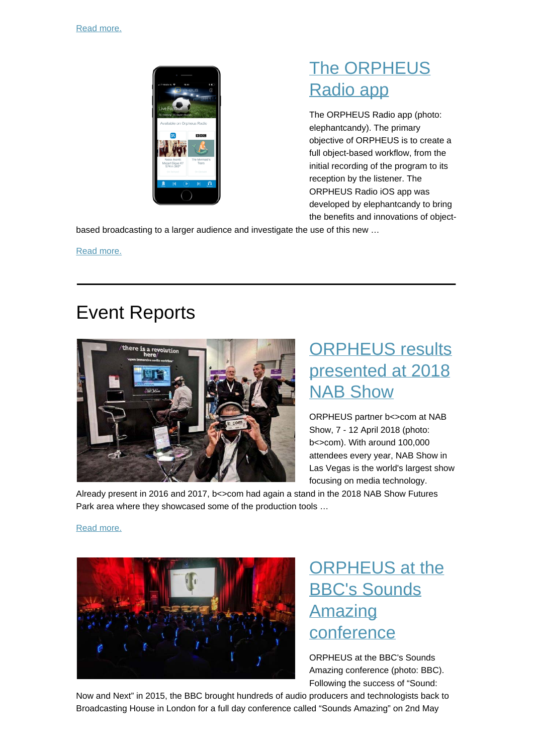

### [The ORPHEUS](https://orpheus-audio.eu/the-orpheus-radio-app/) [Radio app](https://orpheus-audio.eu/the-orpheus-radio-app/)

The ORPHEUS Radio app (photo: elephantcandy). The primary objective of ORPHEUS is to create a full object-based workflow, from the initial recording of the program to its reception by the listener. The ORPHEUS Radio iOS app was developed by elephantcandy to bring the benefits and innovations of object-

based broadcasting to a larger audience and investigate the use of this new …

[Read more.](https://orpheus-audio.eu/the-orpheus-radio-app/)

### Event Reports



### [ORPHEUS results](https://orpheus-audio.eu/orpheus-results-presented-at-2018-nab-show/) [presented at 2018](https://orpheus-audio.eu/orpheus-results-presented-at-2018-nab-show/) **[NAB Show](https://orpheus-audio.eu/orpheus-results-presented-at-2018-nab-show/)**

ORPHEUS partner b<>com at NAB Show, 7 - 12 April 2018 (photo: b<>com). With around 100,000 attendees every year, NAB Show in Las Vegas is the world's largest show focusing on media technology.

Already present in 2016 and 2017, b<>com had again a stand in the 2018 NAB Show Futures Park area where they showcased some of the production tools …

#### [Read more.](https://orpheus-audio.eu/orpheus-results-presented-at-2018-nab-show/)



### [ORPHEUS at the](https://orpheus-audio.eu/orpheus-at-sounds-amazing-conference/) [BBC's Sounds](https://orpheus-audio.eu/orpheus-at-sounds-amazing-conference/) [Amazing](https://orpheus-audio.eu/orpheus-at-sounds-amazing-conference/) [conference](https://orpheus-audio.eu/orpheus-at-sounds-amazing-conference/)

ORPHEUS at the BBC's Sounds Amazing conference (photo: BBC). Following the success of "Sound:

Now and Next" in 2015, the BBC brought hundreds of audio producers and technologists back to Broadcasting House in London for a full day conference called "Sounds Amazing" on 2nd May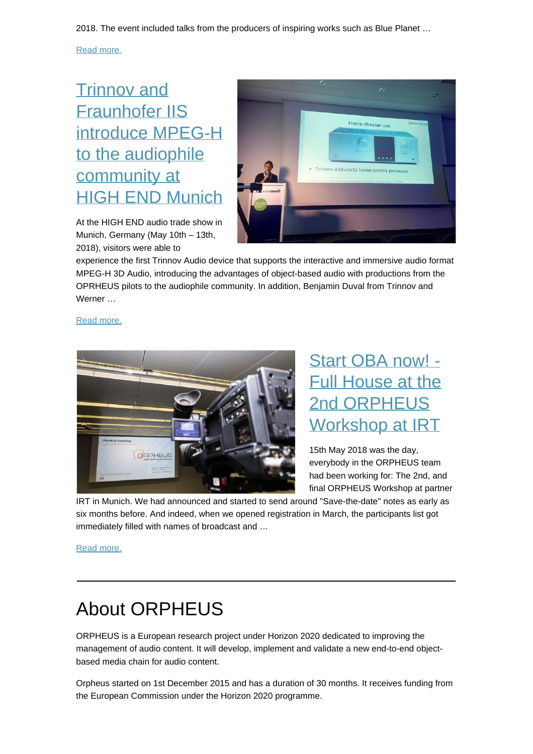2018. The event included talks from the producers of inspiring works such as Blue Planet …

[Read more.](https://orpheus-audio.eu/orpheus-at-sounds-amazing-conference/)

### [Trinnov and](https://orpheus-audio.eu/trinnov-fhg-iis-highend2018/) [Fraunhofer IIS](https://orpheus-audio.eu/trinnov-fhg-iis-highend2018/) [introduce MPEG-H](https://orpheus-audio.eu/trinnov-fhg-iis-highend2018/) [to the audiophile](https://orpheus-audio.eu/trinnov-fhg-iis-highend2018/) [community at](https://orpheus-audio.eu/trinnov-fhg-iis-highend2018/) [HIGH END Munich](https://orpheus-audio.eu/trinnov-fhg-iis-highend2018/)

At the HIGH END audio trade show in Munich, Germany (May 10th – 13th, 2018), visitors were able to



experience the first Trinnov Audio device that supports the interactive and immersive audio format MPEG-H 3D Audio, introducing the advantages of object-based audio with productions from the OPRHEUS pilots to the audiophile community. In addition, Benjamin Duval from Trinnov and Werner …

[Read more.](https://orpheus-audio.eu/trinnov-fhg-iis-highend2018/)



### [Start OBA now! -](https://orpheus-audio.eu/2nd-orpheus-workshop/) [Full House at the](https://orpheus-audio.eu/2nd-orpheus-workshop/) [2nd ORPHEUS](https://orpheus-audio.eu/2nd-orpheus-workshop/) [Workshop at IRT](https://orpheus-audio.eu/2nd-orpheus-workshop/)

15th May 2018 was the day, everybody in the ORPHEUS team had been working for: The 2nd, and final ORPHEUS Workshop at partner

IRT in Munich. We had announced and started to send around "Save-the-date" notes as early as six months before. And indeed, when we opened registration in March, the participants list got immediately filled with names of broadcast and …

[Read more.](https://orpheus-audio.eu/2nd-orpheus-workshop/)

## About ORPHEUS

ORPHEUS is a European research project under Horizon 2020 dedicated to improving the management of audio content. It will develop, implement and validate a new end-to-end objectbased media chain for audio content.

Orpheus started on 1st December 2015 and has a duration of 30 months. It receives funding from the European Commission under the Horizon 2020 programme.